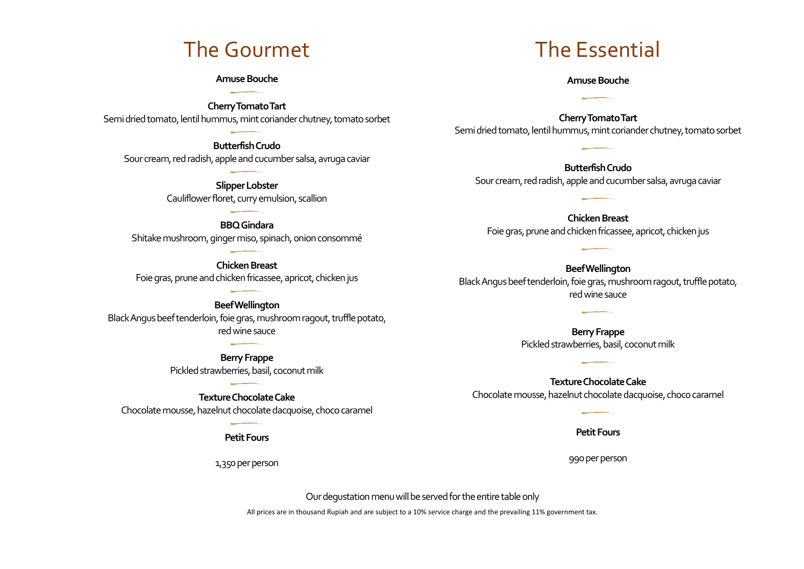# The Gourmet

### **Amuse Bouche**

**Cherry Tomato Tart** Semi dried tomato, lentil hummus, mint coriander chutney, tomato sorbet

**Butterfish Crudo** Sour cream, red radish, apple and cucumber salsa, avruga caviar

> **Slipper Lobster** Cauliflower floret, curry emulsion, scallion

### **BBQ Gindara**

Shitake mushroom, ginger miso, spinach, onion consommé

**Chicken Breast** Foie gras, prune and chicken fricassee, apricot, chicken jus

**Beef Wellington** Black Angus beef tenderloin, foie gras, mushroom ragout, truffle potato, red wine sauce

> **Berry Frappe** Pickled strawberries, basil, coconut milk

**Texture Chocolate Cake** Chocolate mousse, hazelnut chocolate dacquoise, choco caramel

**Petit Fours**

1,350 per person

# The Essential

#### **Amuse Bouche**

**Cherry TomatoTart** Semi dried tomato, lentil hummus, mint coriander chutney, tomato sorbet

**Butterfish Crudo** Sour cream, red radish, apple and cucumber salsa, avruga caviar

**Chicken Breast** Foie gras, prune and chicken fricassee, apricot, chicken jus

**Beef Wellington** Black Angus beef tenderloin, foie gras, mushroom ragout, truffle potato, red wine sauce

> **Berry Frappe** Pickled strawberries, basil, coconut milk

**Texture Chocolate Cake** Chocolate mousse, hazelnut chocolate dacquoise, choco caramel

**Petit Fours**

990 per person

Our degustation menu will be served for the entire table only

All prices are in thousand Rupiah and are subject to a 10% service charge and the prevailing 11% government tax.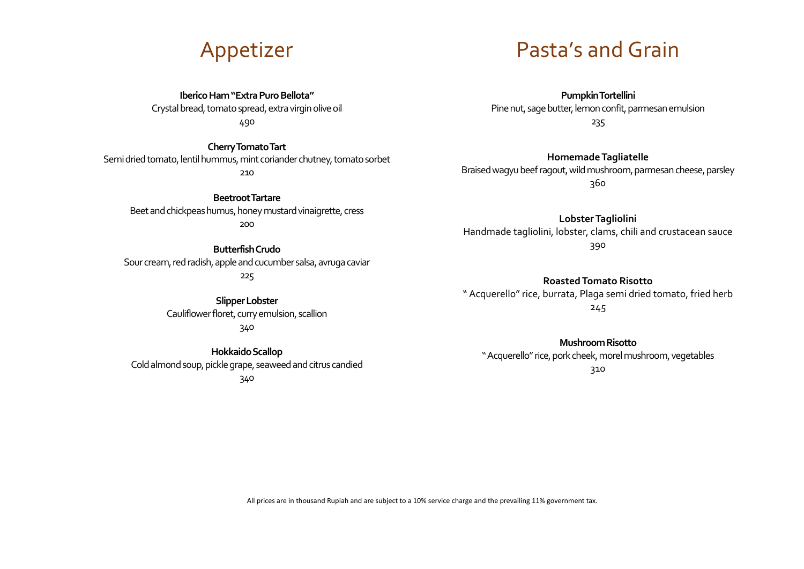

**Iberico Ham "Extra Puro Bellota"** Crystal bread, tomato spread,extra virgin olive oil

490

**Cherry Tomato Tart**

Semi dried tomato, lentil hummus, mint coriander chutney, tomato sorbet 210

**Beetroot Tartare** Beet and chickpeas humus, honey mustard vinaigrette, cress 200

**Butterfish Crudo** Sour cream, red radish, apple and cucumber salsa, avruga caviar 225

> **Slipper Lobster** Cauliflower floret, curry emulsion, scallion 340

**Hokkaido Scallop** Cold almond soup, pickle grape, seaweed and citrus candied 340

Pasta's and Grain

**Pumpkin Tortellini** Pine nut, sage butter, lemon confit, parmesan emulsion 235

**Homemade Tagliatelle** Braised wagyu beef ragout, wild mushroom, parmesan cheese, parsley 360

**Lobster Tagliolini**  Handmade tagliolini, lobster, clams, chili and crustacean sauce 390

**Roasted Tomato Risotto** " Acquerello" rice, burrata, Plaga semi dried tomato, fried herb 245

**Mushroom Risotto** " Acquerello" rice, pork cheek, morel mushroom, vegetables 310

All prices are in thousand Rupiah and are subject to a 10% service charge and the prevailing 11% government tax.